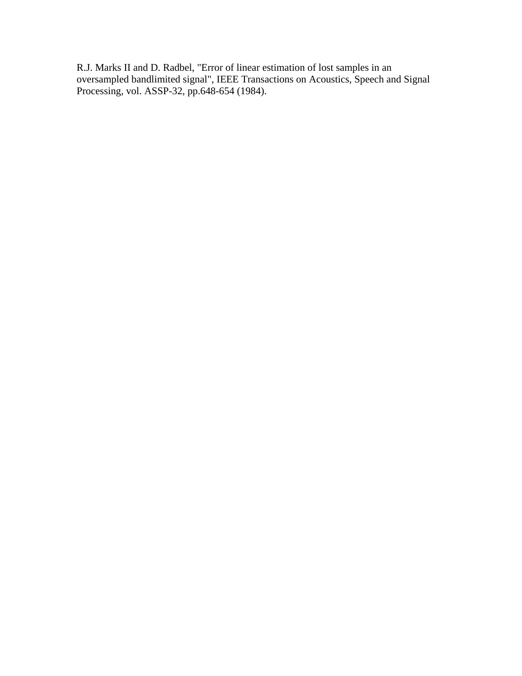R.J. Marks II and D. Radbel, "Error of linear estimation of lost samples in an oversampled bandlimited signal", IEEE Transactions on Acoustics, Speech and Signal Processing, vol. ASSP-32, pp.648-654 (1984).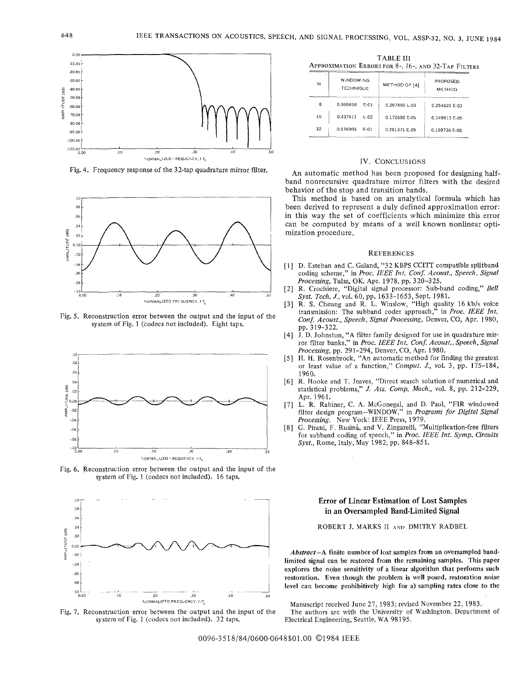

Fig. 4. Frequency response of the 32-tap quadrature mirror filter.



Fig. 5. Reconstruction error between the output and the input of the system of Fig. 1 (codecs not included). Eight taps,



Fig. 6. Reconstruction error between the output and the input of the system of Fig. 1 (codecs not included). 16 taps.



Fig. 7. Reconstruction error between the output and the input of the system of Fig. 1 (codecs not included). 32 taps.

TABLE **<sup>111</sup> APPROXIMATION ERRORS FOR 8-, 16-, AND 32-TAP FILTERS** 

| .      |                               |          |               |                           |
|--------|-------------------------------|----------|---------------|---------------------------|
| ٠<br>N | W.NDOW.NG<br><b>TECHNIQUE</b> |          | METHOD OF [4] | PROPOSED<br><b>METHOD</b> |
| 8      | 0.969858                      | E-01     | 0.297892L-03  | 0.254621 E-03             |
| 16     | 0.437511                      | $£-02$   | 0.172692 E-05 | 0.149813 E-05             |
| 32     | 0.576005                      | $F - 01$ | 0.291371 E-05 | 0.169736 E-05             |

# IV. CONCLUSIONS

**An** automatic method has been proposed for designing halfband nonrecursive quadrature mirror filters with the desired behavior of the stop and transition bands.

This method is based on an analytical formula which has been derived to represent a duly defined approximation error: in this way the set of coefficients which minimize this error can be computed by means of a well known nonlinear optimization procedure.

## **REFERENCES**

- [1] D. Esteban and C. Galand, "32 KBPS CCITT compatible splitband coding scheme," in *Proc. IEEE Int. Conf. Acoust., Speech, Signal Processing,* Tulsa, OK, Apr. 1978, pp. 320-325.
- R. Crochiere, "Digital signal processor: Sub-band coding," *Bell*   $\lceil 2 \rceil$ *Sysf. Tech. J.,* vol. 60, pp. 1633-1653, Sept. 1981.
- R. S. Cheung and R. L. Winslow, "High quality 16 kb/s voice  $\lceil 3 \rceil$ transmission: The subband coder approach," in *Proc. IEEE Int. Con8 Acousf., Speech, Signal Processing,* Denver, CO, Apr. 1980, pp. 3 19-322,
- $|4|$ **J.** D. Johnston, "A filter family designed for use in quadrature mirror filter banks," in *Proc. IEEE Int. Conf. Acoust., Speech, Signal Processing,* pp. 291-294, Denver, CO, Apr. 1980.
- H. **H.** Rosenbrock, "An automatic method for finding the greatest or least value of a function," *Comput. J.,* vol. 3, pp. 175-184, 1960.
- [6] R. Hooke and T. Jeaves, "Direct search solution of numerical and statistical problems," *J. Ass. Comp. Mach.,* vol. 8, pp. 212-229, Apr. 1961.
- $\vert 7 \rangle$ L. R. Rabiner, C. **A.** McConegal, and D. Paul, "FIR windowed filter design program-WINDOW," in *Programs for Digital Signal Processing.* New York: IEEE Press, 1979.
- G. Pirani, F. Rusinà, and V. Zingarelli, "Multiplication-free filters  $[8]$ for subband coding of speech," in *Pvoc. IEEE Int. Symp. Circuits Sysf.,* Rome, Italy, May 1982, pp. 848-851.

# Error **of** Linear Estimation **of** Lost Samples in an Oversampled Band-Limited Signal

ROBERT **J.** MARKS I1 **AVI** DMlTRY RADBEL

*Abstract-A* finite number **of** lost samples from an oversampled bandlimited signal can be restored from the remaining samples. This paper explores the noise sensitivity of a linear algorithm that performs such restoration. Even though the problem is **well** posed, restoration noise level can become prohibitively high for a) sampling rates close to the

Manuscript received June 27, 1983; revised November 22, 1983.

The authors are with the University of Washington, Department of Electrical Engineering, Seattle, WA 98195.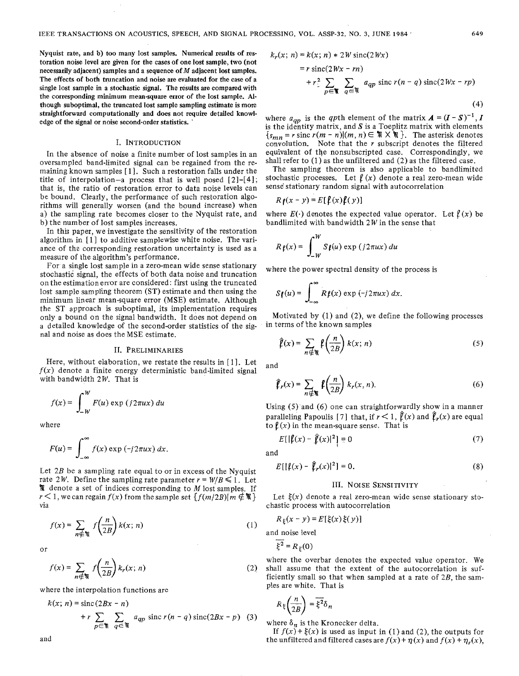**Nyquist rate, and b) too many lost samples. Numerical results of restoration noise level are given for the cases of one lost sample, two (not necessarily adjacent) samples and a sequence of** *M* **adjacent lost samples. The effects of both truncation and noise are evaluated for the case of a single lost sample in a stochastic signal. The results are compared with the corresponding minimum mean-square error of the lost sample.** *Al***though suboptimal, the truncated lost sample sampling estimate is more straightforward computationally and does not require detailed knowledge of the signal or noise second-order statistics.** '

# I. **INTRODUCTION**

In the absence of noise a finite number of lost samples in an oversampled band-limited signal can be regained from the remaining known samples [ <sup>1</sup>]. Such a restoration falls under the title of interpolation-a process that is well posed  $[2]-[4]$ ; that is, the ratio of restoration error to data noise levels can be bound, Clearly, the performance of such restoration algorithms will generally worsen (and the bound increase) when a) the sampling rate becomes closer to the Nyquist rate, and b) the number of lost samples increases.

In this paper, we investigate the sensitivity of the restoration algorithm in [1] to additive samplewise white noise. The variance of the corresponding restoration uncertainty is used as a measure of the algorithm's performance.

For a single lost sample in a zero-mean wide sense stationary stochastic signal, the effects of both data noise and truncation on the estimation error are considered: first using the truncated lost sample sampling theorem (ST) estimate and then using the minimum linear mean-square error (MSE) estimate. Although the ST approach is suboptimal, its implementation requires only a bound on the signal bandwidth. It does not depend on a detailed knowledge of the second-order statistics of the signal and noise as does the MSE estimate.

# 11. **PRELIMINARIES**

Here, without elaboration, we restate the results in [1]. Let  $f(x)$  denote a finite energy deterministic band-limited signal with bandwidth  $2W$ . That is

$$
f(x) = \int_{-W}^{W} F(u) \exp (j2\pi ux) \, du
$$

where

$$
F(u) = \int_{-\infty}^{\infty} f(x) \exp(-j2\pi ux) dx.
$$

Let  $2B$  be a sampling rate equal to or in excess of the Nyquist rate 2W. Define the sampling rate parameter  $r = W/B \le 1$ . Let % denote a set of indices corresponding to *M* lost samples. If  $r < 1$ , we can regain  $f(x)$  from the sample set  $\{f(m/2B)| m \notin \mathcal{M}\}\$ via

$$
f(x) = \sum_{n \notin \mathbb{N}} f\left(\frac{n}{2B}\right) k(x; n) \tag{1}
$$

or

$$
f(x) = \sum_{n \notin \mathbb{N}} f\left(\frac{n}{2B}\right) k_r(x; n)
$$
 (2)

where the interpolation functions are

$$
k(x; n) = \operatorname{sinc}(2Bx - n)
$$
  
+  $r \sum_{p \in \mathbb{N}} \sum_{q \in \mathbb{N}} a_{qp} \operatorname{sinc} r(n - q) \operatorname{sinc}(2Bx - p)$  (3)

$$
k_r(x; n) = k(x; n) * 2W \operatorname{sinc}(2Wx)
$$
  
=  $r \operatorname{sinc}(2Wx - rn)$   
+  $r^2 \sum_{p \in \mathbb{N}} \sum_{q \in \mathbb{N}} a_{qp} \operatorname{sinc} r(n - q) \operatorname{sinc}(2Wx - rp)$  (4)

where  $a_{qp}$  is the qpth element of the matrix  $A = (I - S)^{-1}$ , *I* is the identity matrix, and S is a Toeplitz matrix with elements  ${s_{mn}} = r \text{ sinc } r(m - n)(m, n) \in \mathbb{N} \times \mathbb{N}$ . The asterisk denotes convolution. Note that the *r* subscript denotes the filtered equivalent of the nonsubscripted case. Correspondingly, we shall refer to (1) as the unfiltered and (2) as the filtered case.

The sampling theorem is also applicable to bandlimited stochastic processes. Let  $f(x)$  denote a real zero-mean wide sense' stationary random signal with autocorrelation

$$
R\mathbf{f}(x-y) = E[\mathbf{f}(x)\mathbf{f}(y)]
$$

where  $E(\cdot)$  denotes the expected value operator. Let  $\ell(x)$  be bandlimited with bandwidth  $2W$  in the sense that

$$
R_{\mathfrak{f}}(x) = \int_{-W}^{W} S_{\mathfrak{f}}(u) \exp(i2\pi ux) du
$$

where the power spectral density of the process is

$$
S_{\ell}(u) = \int_{-\infty}^{\infty} R \ell(x) \exp(-j2\pi ux) dx.
$$

Motivated by (1) and (2), we define the following processes in terms of 'the known samples

$$
\hat{\mathbf{f}}(x) = \sum_{n \neq \mathfrak{m}} \mathbf{f}\left(\frac{n}{2B}\right) k(x; n) \tag{5}
$$

and

$$
\hat{\ell}_r(x) = \sum_{n \notin \mathbb{N}} \ell\left(\frac{n}{2B}\right) k_r(x, n). \tag{6}
$$

Using (5) and (6) one can straightforwardly show in a manner paralleling Papoulis [7] that, if  $r < 1$ ,  $\hat{\ell}(x)$  and  $\hat{\ell}_r(x)$  are equal to  $\ell(x)$  in the mean-square sense. That is

$$
E[|\hat{\mathbf{f}}(x) - \hat{\mathbf{f}}(x)|^2] = 0 \tag{7}
$$

and

$$
E[ |\ell(x) - \hat{\ell}_r(x)|^2] = 0.
$$
 (8)

## **111. NOISE SENSITIVITY**

Let  $\xi(x)$  denote a real zero-mean wide sense stationary stochastic process with autocorrelation

$$
R_{\xi}(x - y) = E[\xi(x)\xi(y)]
$$
  
and noise level  

$$
\overline{\xi^2} = R_{\xi}(0)
$$

where the overbar denotes the expected value operator. We shall assume that the extent of the autocorrelation is sufficiently small so that when sampled at a rate of  $2B$ , the samples are white. That is

$$
R_{\xi}\left(\frac{n}{2B}\right) = \overline{\xi^2} \delta_n
$$

where  $\delta_n$  is the Kronecker delta.

If  $f(x) + \xi(x)$  is used as input in (1) and (2), the outputs for and the unfiltered and filtered cases are  $f(x) + \eta(x)$  and  $f(x) + \eta<sub>r</sub>(x)$ ,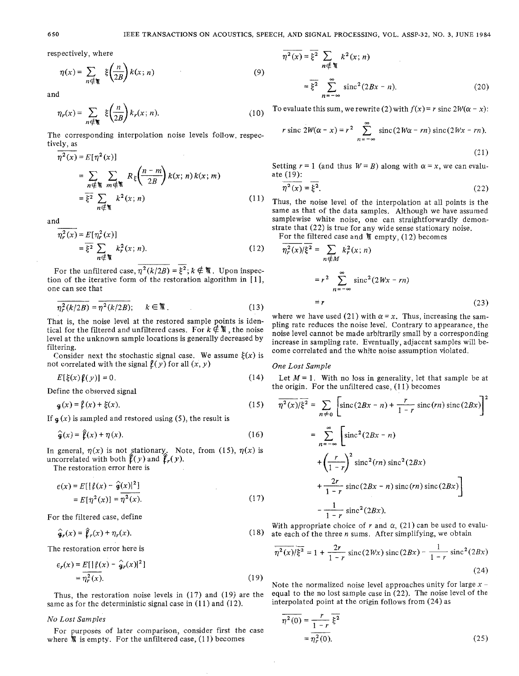respectively, where

$$
\eta(x) = \sum_{n \in \mathcal{H}} \xi\left(\frac{n}{2B}\right) k(x; n) \tag{9}
$$

and

and  
\n
$$
\eta_r(x) = \sum_{n \in \mathbb{N}} \xi\left(\frac{n}{2B}\right) k_r(x; n).
$$
\n(10)  
\nThe corresponding interpolation noise levels follow, respectively, as  
\n
$$
\overline{\eta^2(x)} = E[\eta^2(x)]
$$

The corresponding interpolation noise levels follow, respectively, as

$$
\eta^{2}(x) = E[\eta^{2}(x)]
$$
  
\n
$$
= \sum_{n \in \mathbb{N}} \sum_{m \in \mathbb{N}} R_{\xi} \left( \frac{n-m}{2B} \right) k(x; n) k(x; m)
$$
  
\n
$$
= \overline{\xi^{2}} \sum_{n \in \mathbb{N}} k^{2}(x; n)
$$
 (11)

and

$$
\frac{d}{\eta_r^2(x)} = E[\eta_r^2(x)]
$$
\n
$$
= \frac{1}{\xi^2} \sum_{n \in \mathbb{N}} k_r^2(x; n).
$$
\n(12)

\nFor the unfiltered case, 
$$
\overline{\eta^2(k/2B)} = \overline{\xi^2}; k \notin \mathbb{N}.
$$
 Upon inspection

tion of the iterative form of the restoration algorithm in [ I], one can see that

$$
\overline{\eta_r^2(k/2B)} = \overline{\eta^2(k/2B)}; \qquad k \in \mathbb{R} \tag{13}
$$

That is, the noise level at the restored sample points is identical for the filtered and unfiltered cases. For  $k \notin \mathbb{N}$ , the noise level at the unknown sample locations isgenerally decreased by filtering.

Consider next the stochastic signal case. We assume  $\xi(x)$  is not correlated with the signal  $\ell(y)$  for all  $(x, y)$ 

$$
E[\xi(x)\,\hat{\mu}(y)] = 0.\tag{14}
$$

Define the observed signal

$$
\mathbf{g}(x) = \mathbf{f}(x) + \xi(x). \tag{15}
$$

If  $g(x)$  is sampled and restored using (5), the result is

$$
\hat{\mathbf{g}}(x) = \hat{\mathbf{f}}(x) + \eta(x). \tag{16}
$$

In general,  $\eta(x)$  is not stationary. Note, from (15),  $\eta(x)$  is uncorrelated with both  $\hat{\ell}(y)$  and  $\hat{\ell}_r(y)$ .

The restoration error here is

$$
\epsilon(x) = E[ |\ell(x) - \hat{g}(x)|^2 ]
$$
  
=  $E[\eta^2(x)] = \eta^2(x).$  (17)

For the filtered case, define

$$
\hat{\mathbf{g}}_r(x) = \hat{\mathbf{f}}_r(x) + \eta_r(x). \tag{18}
$$

The restoration error here is

$$
\epsilon_r(x) = E[|\ell(x) - \hat{g}_r(x)|^2]
$$
  
\n
$$
= \eta_r^2(x).
$$
 (19)  
\nThus, the restoration noise levels in (17) and (19) are the equal to the no lost sar  
\nsame as for the deterministic signal case in (11) and (12).  
\nNo Lost Samples  
\nFor purposes of later comparison, consider first the case  
\n
$$
\frac{r}{\eta^2(0)} = \frac{r}{1-r} \bar{\xi}^2
$$

Thus, the restoration noise levels in (17) and (19) are the equal to the no lost sample case in (22). The noise l<br>the personal case in (11) and (12) interpolated point at the origin follows from (24) as same as for the deterministic signal case in  $(11)$  and  $(12)$ .

where  $\mathcal{R}$  is empty. For the unfiltered case, (11) becomes *No Lost Samples*<br>For purposes of later comparison, consider first the case

$$
\overline{n^2(x)} = \overline{\xi^2} \sum_{n \notin \mathbb{N}} k^2(x; n)
$$

$$
= \overline{\xi^2} \sum_{n = -\infty}^{\infty} \text{sinc}^2(2Bx - n). \tag{20}
$$

To evaluate this sum, we rewrite (2) with  $f(x) = r \text{ sinc } 2W(\alpha - x)$ :

$$
r \operatorname{sinc} 2W(\alpha - x) = r^2 \sum_{n = -\infty}^{\infty} \operatorname{sinc} (2W\alpha - rn) \operatorname{sinc} (2Wx - rn).
$$
\n(21)

Setting  $r = 1$  (and thus  $W = B$ ) along with  $\alpha = x$ , we can evaluate (19):

$$
\overline{\eta^2(x)} = \overline{\xi^2}.\tag{22}
$$

Thus, the noise level of the interpolation at all points is the same as that of the data samples. Although we have assumed samplewise white noise, one can straightforwardly demonstrate that (22) is true for any wide sense stationary noise.<br>
For the filtered case and  $\sqrt[m]{\ }$  empty, (12) becomes  $\frac{n^2(x)}{n^2(x)}$   $(z^2) = \sum x^2(x; n)$ 

$$
\overline{\eta_r^2(x)}/\xi^2 = \sum_{n \notin M} k_r^2(x; n)
$$

$$
= r^2 \sum_{n = -\infty}^{\infty} \operatorname{sinc}^2(2Wx - rn)
$$

$$
= r \tag{23}
$$

where we have used (21) with  $\alpha = x$ . Thus, increasing the sampling rate reduces the noise level. Contrary to appearance, the noise level cannot be made arbitrarily small by a corresponding increase in sampling rate. Eventually, adjacent samples will become correlated and the white noise assumption violated.

#### *One Lost Sample*

the origin. For the unfiltered case, (11) becomes Let *M* = 1. With no loss in generality, let that sample be at <br>le origin. For the unfiltered case, (11) becomes<br> $\frac{1}{n^2(x)/\xi^2} = \sum \left[ \text{sinc}(2Bx - n) + \frac{r}{1-x} \text{sinc}(rn) \text{sinc}(2Bx) \right]^2$ 

(15) 
$$
\overline{n^2(x)}/\xi^2 = \sum_{n \neq 0} \left[ \text{sinc}(2Bx - n) + \frac{r}{1 - r} \text{sinc}(rn) \text{sinc}(2Bx) \right]^2
$$
  
\n
$$
= \sum_{n = -\infty}^{\infty} \left[ \text{sinc}^2(2Bx - n) + \frac{r}{1 - r} \text{sinc}(rn) \text{sinc}(2Bx) \right]
$$
\n
$$
+ \left( \frac{r}{1 - r} \right)^2 \text{sinc}^2(rn) \text{sinc}^2(2Bx)
$$
\n
$$
+ \frac{2r}{1 - r} \text{sinc}(2Bx - n) \text{sinc}(rn) \text{sinc}(2Bx)
$$
\n
$$
- \frac{1}{1 - r} \text{sinc}^2(2Bx).
$$

With appropriate choice of  $r$  and  $\alpha$ , (21) can be used to evaluate each of the three *n* sums. After simplifying, we obtain

$$
\overline{\eta^2(x)}/\overline{\xi^2} = 1 + \frac{2r}{1-r} \operatorname{sinc}(2Wx) \operatorname{sinc}(2Bx) - \frac{1}{1-r} \operatorname{sinc}^2(2Bx)
$$
\n(24)

Note the normalized noise level approaches unity for large  $x -$ equal to the no lost sample case in (22). The noise level of the

$$
\eta^{2}(0) = \frac{r}{1 - r} \xi^{2}
$$
  
= 
$$
\eta_{r}^{2}(0).
$$
 (25)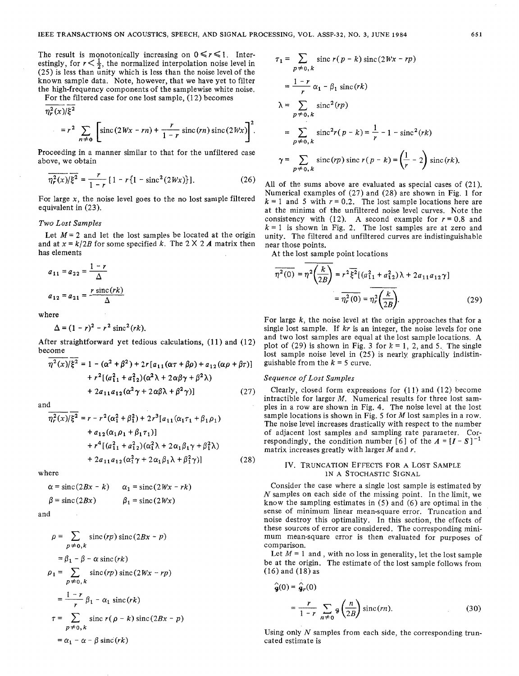The result is monotonically increasing on  $0 \le r \le 1$ . Interestingly, for  $r < \frac{1}{2}$ , the normalized interpolation noise level in (25) is less than unity which is less than the noise level of the known sample data. Note, however, that we have yet to filter known sample data. Note, nowever, that we have yet to lifter<br>the high-frequency components of the samplewise white noise.<br>For the filtered case for one lost sample, (12) becomes<br> $\frac{n^2(y)}{(k^2)}$ 

For the filtered case for one lost sample, (12) becomes  $\frac{n_r^2(x)}{\xi^2}$ 

$$
= r^2 \sum_{n \neq 0} \left[ \operatorname{sinc} (2Wx - rn) + \frac{r}{1-r} \operatorname{sinc} (rn) \operatorname{sinc} (2Wx) \right]^2.
$$

Proceeding in a manner similar to that for the unfiltered case above, we obtain

$$
\overline{\eta_r^2(x)}/\xi^2 = \frac{r}{1-r} \left[1 - r \left\{1 - \text{sinc}^2(2Wx)\right\}\right].\tag{26}
$$

For large  $x$ , the noise level goes to the no lost sample filtered equivalent in (23).

# *Two Lost Samples*

Let  $M = 2$  and let the lost samples be located at the origin and at  $x = k/2B$  for some specified k. The  $2 \times 2A$  matrix then has elements *I-r* a11 = a22 = - **<sup>A</sup>**

$$
a_{11} = a_{22} = \frac{1 - r}{\Delta}
$$

$$
a_{12} = a_{21} = \frac{r \operatorname{sinc}(rk)}{\Delta}
$$

where

e  

$$
\Delta = (1 - r)^2 - r^2 \, \text{sinc}^2(rk).
$$

After straightforward yet tedious calculations, (11) and (12)<br>become  $\frac{a^2(x)/\epsilon^2}{n^2(x)/\epsilon^2} = 1 - (a^2 + b^2) + 2\epsilon^2 (a^2 + b^2) + 2c^2$ 

$$
\eta^{2}(x)/\xi^{2} = 1 - (\alpha^{2} + \beta^{2}) + 2r[a_{11}(\alpha \tau + \beta \rho) + a_{12}(\alpha \rho + \beta \tau)] \text{ guishab}
$$

$$
+ r^{2}[(a_{11}^{2} + a_{12}^{2})(\alpha^{2} \lambda + 2\alpha \beta \gamma + \beta^{2} \lambda) \text{ Sequen}
$$

$$
+ 2a_{11}a_{12}(\alpha^{2} \gamma + 2\alpha \beta \lambda + \beta^{2} \gamma)] \text{ (27)}
$$

and

$$
\overline{\eta_r^2(x)}/\xi^2 = r - r^2(\alpha_1^2 + \beta_1^2) + 2r^3[a_{11}(\alpha_1\tau_1 + \beta_1\rho_1) \n+ a_{12}(\alpha_1\rho_1 + \beta_1\tau_1)] \n+ r^4[(a_{11}^2 + a_{12}^2)(\alpha_1^2\lambda + 2\alpha_1\beta_1\gamma + \beta_1^2\lambda) \n+ 2a_{11}a_{12}(\alpha_1^2\gamma + 2\alpha_1\beta_1\lambda + \beta_1^2\gamma)]
$$
\n(28)

where

$$
\alpha = \operatorname{sinc}(2Bx - k) \qquad \alpha_1 = \operatorname{sinc}(2Wx - rk)
$$
  

$$
\beta = \operatorname{sinc}(2Bx) \qquad \beta_1 = \operatorname{sinc}(2Wx)
$$

and

$$
\rho = \sum_{p \neq 0,k} \operatorname{sinc}(rp) \operatorname{sinc}(2Bx - p)
$$
  
\n
$$
= \beta_1 - \beta - \alpha \operatorname{sinc}(rk)
$$
  
\n
$$
\rho_1 = \sum_{p \neq 0,k} \operatorname{sinc}(rp) \operatorname{sinc}(2Wx - rp)
$$
  
\n
$$
= \frac{1 - r}{r} \beta_1 - \alpha_1 \operatorname{sinc}(rk)
$$
  
\n
$$
\tau = \sum_{p \neq 0,k} \operatorname{sinc} r(\rho - k) \operatorname{sinc}(2Bx - p)
$$
  
\n
$$
= \alpha_1 - \alpha - \beta \operatorname{sinc}(rk)
$$

$$
\tau_1 = \sum_{p \neq 0, k} \operatorname{sinc} r(p - k) \operatorname{sinc} (2Wx - rp)
$$
  
=  $\frac{1 - r}{r} \alpha_1 - \beta_1 \operatorname{sinc}(rk)$   

$$
\lambda = \sum_{p \neq 0, k} \operatorname{sinc}^2(rp)
$$
  
=  $\sum_{p \neq 0, k} \operatorname{sinc}^2r(p - k) = \frac{1}{r} - 1 - \operatorname{sinc}^2(rk)$   

$$
\gamma = \sum_{p \neq 0, k} \operatorname{sinc}(rp) \operatorname{sinc} r(p - k) = \left(\frac{1}{r} - 2\right) \operatorname{sinc}(rk).
$$

All of the sums above are evaluated as special cases of (21). Numerical examples of (27) and (28) are shown in Fig. 1 for  $k = 1$  and 5 with  $r = 0.2$ . The lost sample locations here are at the minima of the unfiltered noise level curves. Note the consistency with (12). A second example for  $r = 0.8$  and  $k = 1$  is shown in Fig. 2. The lost samples are at zero and unity. The filtered and unfiltered curves are indistinguishable near those points.

At the lost sample point locations

$$
\overline{\eta^2(0)} = \overline{\eta^2(\frac{k}{2B})} = r^2 \overline{\xi^2} [(a_{11}^2 + a_{12}^2) \lambda + 2a_{11}a_{12}\gamma]
$$

$$
= \overline{\eta_r^2(0)} = \overline{\eta_r^2(\frac{k}{2B})}.
$$
(29)

For large *k,* the noise level at the origin approaches that for a single lost sample. If  $kr$  is an integer, the noise levels for one and two lost samples are equal at the lost sample locations. A plot of (29) is shown in Fig. 3 for  $k = 1, 2,$  and 5. The single lost sample noise level in (25) is nearly graphically indistinguishable from the  $k = 5$  curve.

## *Sequence* of *Lost Samples*

Clearly, closed form expressions for  $(11)$  and  $(12)$  become intractible for larger M. Numerical results for three lost samples in a row are shown in Fig. 4. The noise level at the lost sample locations is shown in Fig. 5 for *M* lost samples in a row. The noise level increases drastically with respect to the number of adjacent lost samples and sampling rate parameter. Correspondingly, the condition number [6] of the  $A = [I - S]^{-1}$ matrix increases greatly with larger *M* and r.

# Iv. **TRUNCATION EFFECTS FOR A** LOST **SAMPLE IN A STOCHASTIC SIGNAL**

Consider the case where a single lost sample is estimated by *N* samples on each side of the missing point. In the limit, we know the sampling estimates in (5) and (6) are optimal in the sense of minimum linear mean-square error. Truncation and noise destroy this optimality. In this section, the effects of these sources of error are considered. The corresponding minimum mean-square error is then evaluated for purposes of comparison.

Let  $M = 1$  and, with no loss in generality, let the lost sample be at the origin. The estimate of the lost sample follows from  $(16)$  and  $(18)$  as

$$
\hat{\mathbf{g}}(0) = \hat{\mathbf{g}}_r(0)
$$
  
= 
$$
\frac{r}{1 - r} \sum_{n \neq 0} \mathbf{g} \left(\frac{n}{2B}\right) \operatorname{sinc}(rn).
$$
 (30)

Using only *N* samples from each side, the corresponding truncated estimate is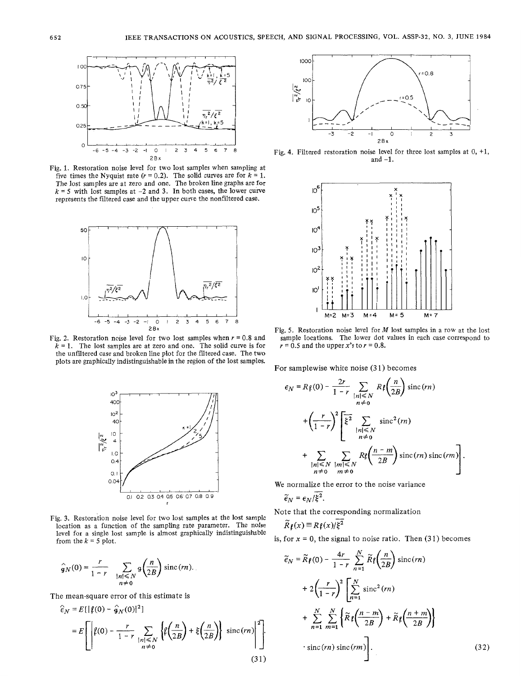

Fig. 1. Restoration noise level for two lost samples when sampling at five times the Nyquist rate  $(r = 0.2)$ . The solid curves are for  $k = 1$ . The lost samples are at zero and one. The broken line graphs are for  $k = 5$  with lost samples at  $-2$  and 3. In both cases, the lower curve represents the filtered case and the upper curve the nonfiltered case.



Fig. 2. Restoration noise level for two lost samples when  $r = 0.8$  and  $\bar{k}$  = 1. The lost samples are at zero and one. The solid curve is for the unfiltered case and broken line plot for the filtered case. The two plots are graphically indistinguishable in the region of the lost samples.



Fig. 3. Restoration noise level for two lost samples at the lost sample location as a function of the sampling rate parameter. The noise level for a single lost sample is almost graphically indistinguishable from the  $k = 5$  plot.

$$
\widehat{g}_N(0) = \frac{r}{1-r} \sum_{\substack{|n| \le N \\ n \neq 0}} g\left(\frac{n}{2B}\right) \operatorname{sinc}(rn).
$$

The mean-square error of this estimate is

 $\hat{\epsilon}$ 

$$
N = E\left[\left|\ell(0) - \frac{r}{1-r} \sum_{\substack{|n| \le N \\ n \neq 0}} \left\{\ell\left(\frac{n}{2B}\right) + \xi\left(\frac{n}{2B}\right)\right\} \text{ sinc}(rn)\right]^2\right]
$$
\n
$$
\tag{31}
$$



Fig. **4.** Filtered restoration noise level for three lost samples at 0, **+l.**  and  $-1$ .



Fig. 5. Restoration noise level for  $M$  lost samples in a row at the lost sample locations. The lower dot values in each case correspond to  $r = 0.5$  and the upper *x*<sup>2</sup>s to  $r = 0.8$ .

For samplewise white noise **(3** 1) becomes

$$
\epsilon_N = R \ell(0) - \frac{2r}{1-r} \sum_{\substack{|n| \le N \\ n \neq 0}} R \ell \left( \frac{n}{2B} \right) \operatorname{sinc}(rn)
$$
  
+ 
$$
\left( \frac{r}{1-r} \right)^2 \left[ \xi^2 \sum_{\substack{|n| \le N \\ n \neq 0}} \operatorname{sinc}^2(rn) + \sum_{\substack{|n| \le N \\ n \neq 0}} \sum_{\substack{|m| \le N \\ m \neq 0}} R \ell \left( \frac{n-m}{2B} \right) \operatorname{sinc}(rn) \operatorname{sinc}(rm) \right].
$$

We normalize the error to the noise variance

$$
\widetilde{\epsilon}_N = \epsilon_N/\overline{\xi^2}.
$$

Note that the corresponding normalization

$$
\widetilde{R} \, \mathbf{r}(x) \equiv R \, \mathbf{r}(x) / \overline{\xi^2}
$$

is, for  $x = 0$ , the signal to noise ratio. Then  $(31)$  becomes

$$
\tilde{e}_N = \tilde{R}f(0) - \frac{4r}{1-r} \sum_{n=1}^N \tilde{R}f\left(\frac{n}{2B}\right) \operatorname{sinc}(rn) \n+ 2\left(\frac{r}{1-r}\right)^2 \left[\sum_{n=1}^N \operatorname{sinc}^2(rn) + \sum_{n=1}^N \sum_{m=1}^N \left\{\tilde{R}f\left(\frac{n-m}{2B}\right) + \tilde{R}f\left(\frac{n+m}{2B}\right)\right\} \right] \n\cdot \operatorname{sinc}(rn) \operatorname{sinc}(rm) \right].
$$
\n(32)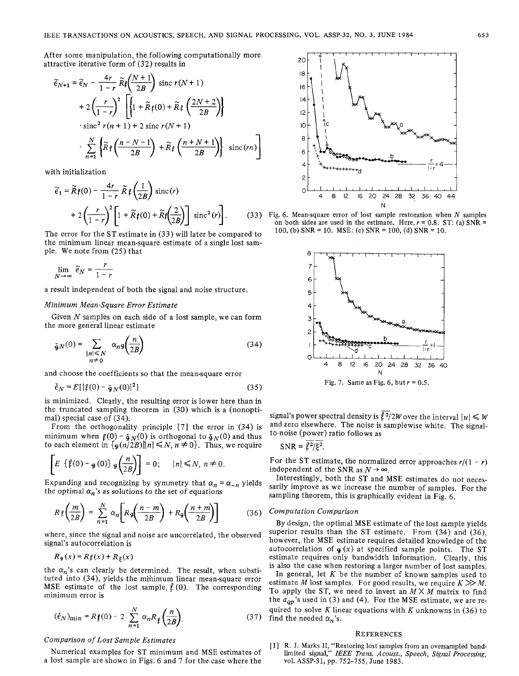After some manipulation, the following computationally more attractive iterative form of (32) results in

$$
\widetilde{\epsilon}_{N+1} = \widetilde{\epsilon}_{N} - \frac{4r}{1-r} \widetilde{R} \ell \left( \frac{N+1}{2B} \right) \text{ sinc } r(N+1)
$$
  
+2  $\left( \frac{r}{1-r} \right)^2 \left[ \left\{ 1 + \widetilde{R} \ell(0) + \widetilde{R} \ell \left( \frac{2N+2}{2B} \right) \right\}$   
 
$$
\cdot \text{sinc}^2 r(n+1) + 2 \text{sinc } r(N+1)
$$
  
 
$$
\cdot \sum_{n=1}^N \left\{ \widetilde{R} \ell \left( \frac{n-N-1}{2B} \right) + \widetilde{R} \ell \left( \frac{n+N+1}{2B} \right) \right\} \text{ sinc}(rn)
$$

with initialization

$$
\widetilde{\epsilon}_{1} = \widetilde{R} \mathbf{f}(0) - \frac{4r}{1-r} \widetilde{R} \mathbf{f} \left(\frac{1}{2B}\right) \operatorname{sinc}(r) \n+ 2 \left(\frac{r}{1-r}\right)^{2} \left[1 + \widetilde{R} \mathbf{f}(0) + \widetilde{R} \mathbf{f} \left(\frac{2}{2B}\right)\right] \operatorname{sinc}^{2}(r) \right].
$$
\n(33)

The error for the ST estimate in (33) will later be compared to the minimum linear mean-square estimate of a single lost sample. We note from (25) that

$$
\lim_{N \to \infty} \tilde{e}_N = \frac{r}{1 - r}
$$

a result independent of both the signal and noise structure.

# Minimum Mean-Square Error Estimate

Given  $N$  samples on each side of a lost sample, we can form the more general linear estimate

$$
\tilde{A}_N(0) = \sum_{\substack{|n| \le N \\ n \neq 0}} \alpha_n A_n \left( \frac{n}{2B} \right) \tag{34}
$$

and choose the coefficients so that the mean-square error

$$
\check{\epsilon}_N = E[|\ell(0) - \check{q}_N(0)|^2] \tag{35}
$$

is minimized. Clearly, the resulting error is lower here than in the truncated sampling theorem in (30) which is a (nonoptimal) special case of (34).

From the orthogonality principle  $[7]$  the error in  $(34)$  is minimum when  $\ell(0) - \frac{1}{2}N(0)$  is orthogonal to  $\frac{1}{2}N(0)$  and thus to each element in  $\left[\frac{1}{9}(n/2B)\right]|n| \le N, n \ne 0\}$ . Thus, we require

$$
\[E\{\mathfrak{l}(0)-g(0)\}\,g\left(\frac{n}{2B}\right)\] = 0; \quad |n| \leq N, n \neq 0.
$$

Expanding and recognizing by symmetry that  $\alpha_n = \alpha_{-n}$  yields the optimal  $\alpha_n$ 's as solutions to the set of equations

$$
R \mathfrak{f}\left(\frac{m}{2B}\right) = \sum_{n=1}^{N} \alpha_n \left[ R \mathfrak{g}\left(\frac{n-m}{2B}\right) + R \mathfrak{g}\left(\frac{n+m}{2B}\right) \right] \tag{36}
$$

where, since the signal and noise are uncorrelated, the observed signal's autocorrelation is

$$
R_{\mathfrak{g}}(x) = R\mathfrak{f}(x) + R_{\xi}(x)
$$

the  $\alpha_n$ 's can clearly be determined. The result, when substituted into (34), yields the minimum linear mean-square error MSE estimate of the lost sample,  $\ell$  (0). The corresponding minimum error is

$$
(\check{e}_N)_{\min} = R \mathfrak{f}(0) - 2 \sum_{n=1}^{N} \alpha_n R \mathfrak{f}\left(\frac{n}{2B}\right).
$$
 (37)

# Comparison of Lost Sample Estimates

Numerical examples for ST minimum and MSE estimates of a lost sample are shown in Figs. 6 and 7 for the case where the



Fig. 6. Mean-square error of lost sample restoration when  $N$  samples on both sides are used in the estimate. Here,  $r = 0.8$ . ST: (a) SNR = 100, (b) SNR = 10. MSE: (c) SNR = 100, (d) SNR = 10.



signal's power spectral density is  $\sqrt{2}/2W$  over the interval  $|u| \leq W$ and zero elsewhere. The noise is samplewise white. The signalto-noise (power) ratio follows as

$$
SNR = \ell^2/\xi^2.
$$

For the ST estimate, the normalized error approaches  $r/(1 - r)$ independent of the SNR as  $N \rightarrow \infty$ .

Interestingly, both the ST and MSE estimates do not necessarily improve as we increase the number of samples. For the sampling theorem, this is graphically evident in Fig. 6.

#### Computation Comparison

By design, the optimal MSE estimate of the lost sample yields superior results than the ST estimate. From (34) and (36). however, the MSE estimate requires detailed knowledge of the autocorrelation of  $g(x)$  at specified sample points. The ST estimate requires only bandwidth information. Clearly, this is also the case when restoring a larger number of lost samples.

In general, let  $K$  be the number of known samples used to estimate M lost samples. For good results, we require  $K \gg M$ . To apply the ST, we need to invert an  $M \times M$  matrix to find the  $a_{qp}$ 's used in (3) and (4). For the MSE estimate, we are required to solve  $K$  linear equations with  $K$  unknowns in (36) to find the needed  $\alpha_n$ 's.

# **REFERENCES**

[1] R. J. Marks II, "Restoring lost samples from an oversampled band-<br>limited signal," IEEE Trans. Acoust., Speech, Signal Processing, vol. ASSP-31, pp. 752-755, June 1983.